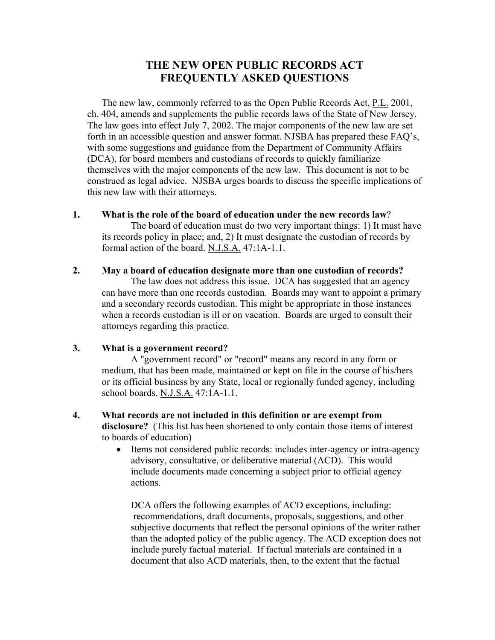# **THE NEW OPEN PUBLIC RECORDS ACT FREQUENTLY ASKED QUESTIONS**

The new law, commonly referred to as the Open Public Records Act, P.L. 2001, ch. 404, amends and supplements the public records laws of the State of New Jersey. The law goes into effect July 7, 2002. The major components of the new law are set forth in an accessible question and answer format. NJSBA has prepared these FAQ's, with some suggestions and guidance from the Department of Community Affairs (DCA), for board members and custodians of records to quickly familiarize themselves with the major components of the new law. This document is not to be construed as legal advice. NJSBA urges boards to discuss the specific implications of this new law with their attorneys.

**1. What is the role of the board of education under the new records law**?

The board of education must do two very important things: 1) It must have its records policy in place; and, 2) It must designate the custodian of records by formal action of the board. N.J.S.A. 47:1A-1.1.

**2. May a board of education designate more than one custodian of records?**

The law does not address this issue. DCA has suggested that an agency can have more than one records custodian. Boards may want to appoint a primary and a secondary records custodian. This might be appropriate in those instances when a records custodian is ill or on vacation. Boards are urged to consult their attorneys regarding this practice.

## **3. What is a government record?**

A "government record" or "record" means any record in any form or medium, that has been made, maintained or kept on file in the course of his/hers or its official business by any State, local or regionally funded agency, including school boards. N.J.S.A. 47:1A-1.1.

- **4. What records are not included in this definition or are exempt from disclosure?** (This list has been shortened to only contain those items of interest to boards of education)
	- Items not considered public records: includes inter-agency or intra-agency advisory, consultative, or deliberative material (ACD). This would include documents made concerning a subject prior to official agency actions.

DCA offers the following examples of ACD exceptions, including: recommendations, draft documents, proposals, suggestions, and other subjective documents that reflect the personal opinions of the writer rather than the adopted policy of the public agency. The ACD exception does not include purely factual material. If factual materials are contained in a document that also ACD materials, then, to the extent that the factual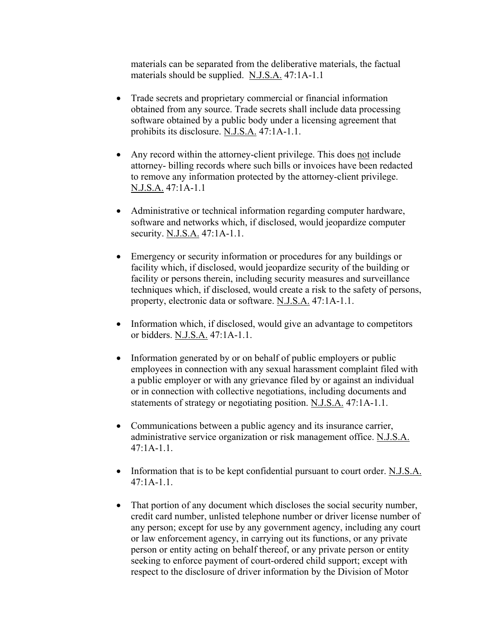materials can be separated from the deliberative materials, the factual materials should be supplied. N.J.S.A. 47:1A-1.1

- Trade secrets and proprietary commercial or financial information obtained from any source. Trade secrets shall include data processing software obtained by a public body under a licensing agreement that prohibits its disclosure. N.J.S.A. 47:1A-1.1.
- Any record within the attorney-client privilege. This does not include attorney- billing records where such bills or invoices have been redacted to remove any information protected by the attorney-client privilege. N.J.S.A. 47:1A-1.1
- Administrative or technical information regarding computer hardware, software and networks which, if disclosed, would jeopardize computer security. N.J.S.A. 47:1A-1.1.
- Emergency or security information or procedures for any buildings or facility which, if disclosed, would jeopardize security of the building or facility or persons therein, including security measures and surveillance techniques which, if disclosed, would create a risk to the safety of persons, property, electronic data or software. N.J.S.A. 47:1A-1.1.
- Information which, if disclosed, would give an advantage to competitors or bidders. N.J.S.A. 47:1A-1.1.
- Information generated by or on behalf of public employers or public employees in connection with any sexual harassment complaint filed with a public employer or with any grievance filed by or against an individual or in connection with collective negotiations, including documents and statements of strategy or negotiating position. N.J.S.A. 47:1A-1.1.
- Communications between a public agency and its insurance carrier, administrative service organization or risk management office. N.J.S.A. 47:1A-1.1.
- Information that is to be kept confidential pursuant to court order. N.J.S.A. 47:1A-1.1.
- That portion of any document which discloses the social security number, credit card number, unlisted telephone number or driver license number of any person; except for use by any government agency, including any court or law enforcement agency, in carrying out its functions, or any private person or entity acting on behalf thereof, or any private person or entity seeking to enforce payment of court-ordered child support; except with respect to the disclosure of driver information by the Division of Motor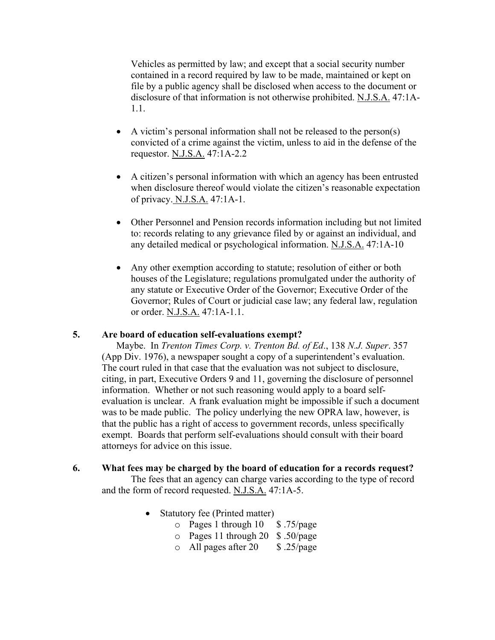Vehicles as permitted by law; and except that a social security number contained in a record required by law to be made, maintained or kept on file by a public agency shall be disclosed when access to the document or disclosure of that information is not otherwise prohibited. N.J.S.A. 47:1A-1.1.

- A victim's personal information shall not be released to the person(s) convicted of a crime against the victim, unless to aid in the defense of the requestor. N.J.S.A. 47:1A-2.2
- A citizen's personal information with which an agency has been entrusted when disclosure thereof would violate the citizen's reasonable expectation of privacy. N.J.S.A. 47:1A-1.
- Other Personnel and Pension records information including but not limited to: records relating to any grievance filed by or against an individual, and any detailed medical or psychological information. N.J.S.A. 47:1A-10
- Any other exemption according to statute; resolution of either or both houses of the Legislature; regulations promulgated under the authority of any statute or Executive Order of the Governor; Executive Order of the Governor; Rules of Court or judicial case law; any federal law, regulation or order. N.J.S.A. 47:1A-1.1.

## **5. Are board of education self-evaluations exempt?**

Maybe. In *Trenton Times Corp. v. Trenton Bd. of Ed*., 138 *N.J. Super*. 357 (App Div. 1976), a newspaper sought a copy of a superintendent's evaluation. The court ruled in that case that the evaluation was not subject to disclosure, citing, in part, Executive Orders 9 and 11, governing the disclosure of personnel information. Whether or not such reasoning would apply to a board selfevaluation is unclear. A frank evaluation might be impossible if such a document was to be made public. The policy underlying the new OPRA law, however, is that the public has a right of access to government records, unless specifically exempt. Boards that perform self-evaluations should consult with their board attorneys for advice on this issue.

# **6. What fees may be charged by the board of education for a records request?**

The fees that an agency can charge varies according to the type of record and the form of record requested. N.J.S.A. 47:1A-5.

- Statutory fee (Printed matter)
	- $\circ$  Pages 1 through 10 \$ .75/page
	- o Pages 11 through 20 \$ .50/page
	- $\circ$  All pages after 20  $\circ$  \$ .25/page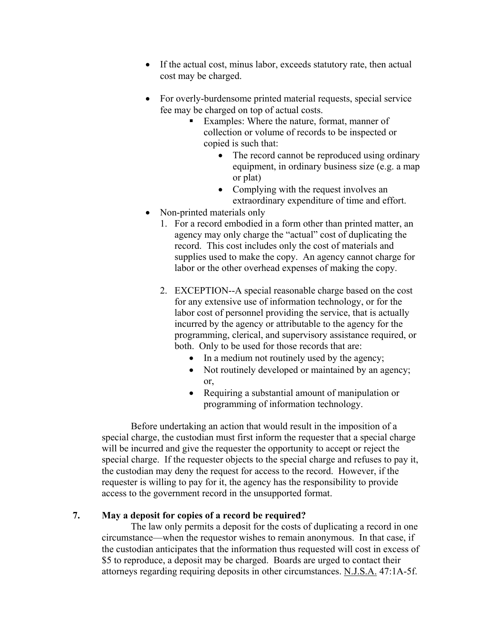- If the actual cost, minus labor, exceeds statutory rate, then actual cost may be charged.
- For overly-burdensome printed material requests, special service fee may be charged on top of actual costs.
	- Examples: Where the nature, format, manner of collection or volume of records to be inspected or copied is such that:
		- The record cannot be reproduced using ordinary equipment, in ordinary business size (e.g. a map or plat)
		- Complying with the request involves an extraordinary expenditure of time and effort.
- Non-printed materials only
	- 1. For a record embodied in a form other than printed matter, an agency may only charge the "actual" cost of duplicating the record. This cost includes only the cost of materials and supplies used to make the copy. An agency cannot charge for labor or the other overhead expenses of making the copy.
	- 2. EXCEPTION--A special reasonable charge based on the cost for any extensive use of information technology, or for the labor cost of personnel providing the service, that is actually incurred by the agency or attributable to the agency for the programming, clerical, and supervisory assistance required, or both. Only to be used for those records that are:
		- In a medium not routinely used by the agency;
		- Not routinely developed or maintained by an agency; or,
		- Requiring a substantial amount of manipulation or programming of information technology.

Before undertaking an action that would result in the imposition of a special charge, the custodian must first inform the requester that a special charge will be incurred and give the requester the opportunity to accept or reject the special charge. If the requester objects to the special charge and refuses to pay it, the custodian may deny the request for access to the record. However, if the requester is willing to pay for it, the agency has the responsibility to provide access to the government record in the unsupported format.

## **7. May a deposit for copies of a record be required?**

The law only permits a deposit for the costs of duplicating a record in one circumstance—when the requestor wishes to remain anonymous. In that case, if the custodian anticipates that the information thus requested will cost in excess of \$5 to reproduce, a deposit may be charged. Boards are urged to contact their attorneys regarding requiring deposits in other circumstances. N.J.S.A. 47:1A-5f.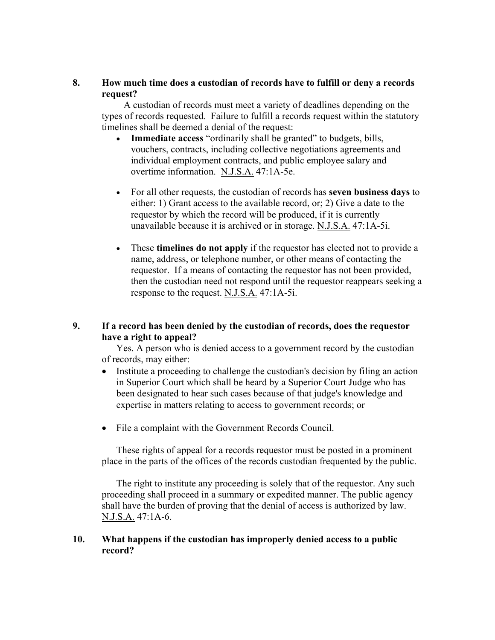## **8. How much time does a custodian of records have to fulfill or deny a records request?**

 A custodian of records must meet a variety of deadlines depending on the types of records requested. Failure to fulfill a records request within the statutory timelines shall be deemed a denial of the request:

- **Immediate access** "ordinarily shall be granted" to budgets, bills, vouchers, contracts, including collective negotiations agreements and individual employment contracts, and public employee salary and overtime information. N.J.S.A. 47:1A-5e.
- For all other requests, the custodian of records has **seven business days** to either: 1) Grant access to the available record, or; 2) Give a date to the requestor by which the record will be produced, if it is currently unavailable because it is archived or in storage. N.J.S.A. 47:1A-5i.
- These **timelines do not apply** if the requestor has elected not to provide a name, address, or telephone number, or other means of contacting the requestor. If a means of contacting the requestor has not been provided, then the custodian need not respond until the requestor reappears seeking a response to the request. N.J.S.A. 47:1A-5i.

# **9. If a record has been denied by the custodian of records, does the requestor have a right to appeal?**

Yes. A person who is denied access to a government record by the custodian of records, may either:

- Institute a proceeding to challenge the custodian's decision by filing an action in Superior Court which shall be heard by a Superior Court Judge who has been designated to hear such cases because of that judge's knowledge and expertise in matters relating to access to government records; or
- File a complaint with the Government Records Council.

These rights of appeal for a records requestor must be posted in a prominent place in the parts of the offices of the records custodian frequented by the public.

The right to institute any proceeding is solely that of the requestor. Any such proceeding shall proceed in a summary or expedited manner. The public agency shall have the burden of proving that the denial of access is authorized by law. N.J.S.A. 47:1A-6.

## **10. What happens if the custodian has improperly denied access to a public record?**